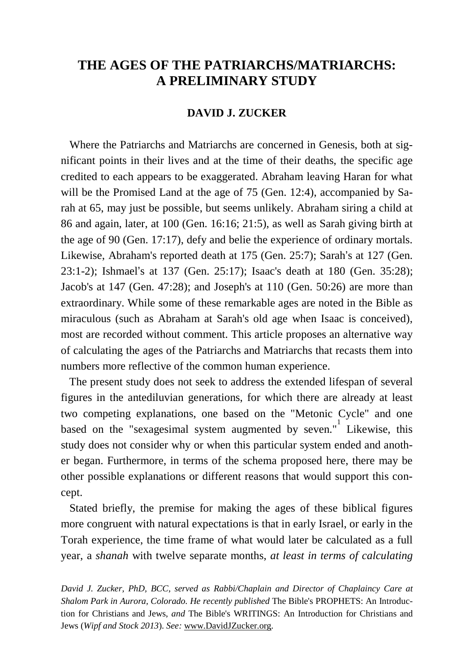## **THE AGES OF THE PATRIARCHS/MATRIARCHS: A PRELIMINARY STUDY**

## **DAVID J. ZUCKER**

 Where the Patriarchs and Matriarchs are concerned in Genesis, both at significant points in their lives and at the time of their deaths, the specific age credited to each appears to be exaggerated. Abraham leaving Haran for what will be the Promised Land at the age of 75 (Gen. 12:4), accompanied by Sarah at 65, may just be possible, but seems unlikely. Abraham siring a child at 86 and again, later, at 100 (Gen. 16:16; 21:5), as well as Sarah giving birth at the age of 90 (Gen. 17:17), defy and belie the experience of ordinary mortals. Likewise, Abraham's reported death at 175 (Gen. 25:7); Sarah's at 127 (Gen. 23:1-2); Ishmael's at 137 (Gen. 25:17); Isaac's death at 180 (Gen. 35:28); Jacob's at 147 (Gen. 47:28); and Joseph's at 110 (Gen. 50:26) are more than extraordinary. While some of these remarkable ages are noted in the Bible as miraculous (such as Abraham at Sarah's old age when Isaac is conceived), most are recorded without comment. This article proposes an alternative way of calculating the ages of the Patriarchs and Matriarchs that recasts them into numbers more reflective of the common human experience.

 The present study does not seek to address the extended lifespan of several figures in the antediluvian generations, for which there are already at least two competing explanations, one based on the "Metonic Cycle" and one based on the "sexagesimal system augmented by seven." Likewise, this study does not consider why or when this particular system ended and another began. Furthermore, in terms of the schema proposed here, there may be other possible explanations or different reasons that would support this concept.

 Stated briefly, the premise for making the ages of these biblical figures more congruent with natural expectations is that in early Israel, or early in the Torah experience, the time frame of what would later be calculated as a full year, a *shanah* with twelve separate months, *at least in terms of calculating* 

*David J. Zucker, PhD, BCC, served as Rabbi/Chaplain and Director of Chaplaincy Care at Shalom Park in Aurora, Colorado. He recently published* The Bible's PROPHETS: An Introduction for Christians and Jews, *and* The Bible's WRITINGS: An Introduction for Christians and Jews (*Wipf and Stock 2013*). *See:* [www.DavidJZucker.org.](http://www.davidjzucker.org/)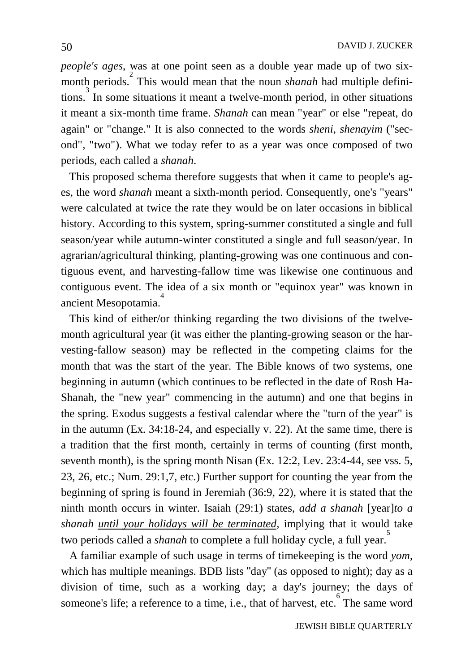*people's ages*, was at one point seen as a double year made up of two sixmonth periods.<sup>2</sup> This would mean that the noun *shanah* had multiple definitions. 3 In some situations it meant a twelve-month period, in other situations it meant a six-month time frame. *Shanah* can mean "year" or else "repeat, do again" or "change." It is also connected to the words *sheni, shenayim* ("second", "two"). What we today refer to as a year was once composed of two periods, each called a *shanah*.

 This proposed schema therefore suggests that when it came to people's ages, the word *shanah* meant a sixth-month period. Consequently, one's "years" were calculated at twice the rate they would be on later occasions in biblical history. According to this system, spring-summer constituted a single and full season/year while autumn-winter constituted a single and full season/year. In agrarian/agricultural thinking, planting-growing was one continuous and contiguous event, and harvesting-fallow time was likewise one continuous and contiguous event. The idea of a six month or "equinox year" was known in ancient Mesopotamia.

 This kind of either/or thinking regarding the two divisions of the twelvemonth agricultural year (it was either the planting-growing season or the harvesting-fallow season) may be reflected in the competing claims for the month that was the start of the year. The Bible knows of two systems, one beginning in autumn (which continues to be reflected in the date of Rosh Ha-Shanah, the "new year" commencing in the autumn) and one that begins in the spring. Exodus suggests a festival calendar where the "turn of the year" is in the autumn (Ex. 34:18-24, and especially v. 22). At the same time, there is a tradition that the first month, certainly in terms of counting (first month, seventh month), is the spring month Nisan (Ex. 12:2, Lev. 23:4-44, see vss. 5, 23, 26, etc.; Num. 29:1,7, etc.) Further support for counting the year from the beginning of spring is found in Jeremiah (36:9, 22), where it is stated that the ninth month occurs in winter. Isaiah (29:1) states, *add a shanah* [year]*to a shanah until your holidays will be terminated*, implying that it would take two periods called a *shanah* to complete a full holiday cycle, a full year.<sup>5</sup>

 A familiar example of such usage in terms of timekeeping is the word *yom*, which has multiple meanings. BDB lists "day" (as opposed to night); day as a division of time, such as a working day; a day's journey; the days of someone's life; a reference to a time, i.e., that of harvest, etc. The same word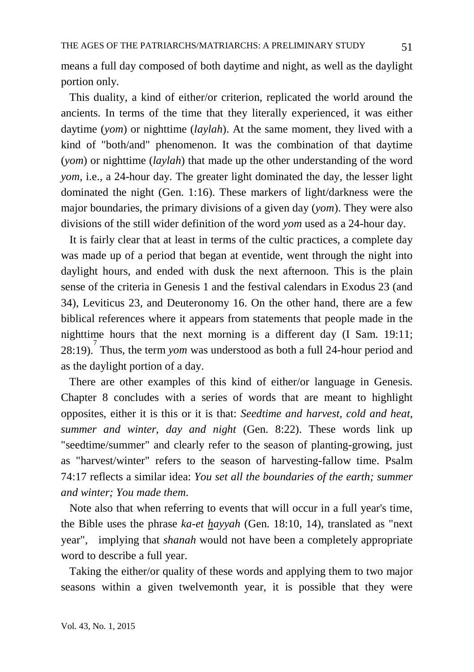means a full day composed of both daytime and night, as well as the daylight portion only.

 This duality, a kind of either/or criterion, replicated the world around the ancients. In terms of the time that they literally experienced, it was either daytime (*yom*) or nighttime (*laylah*). At the same moment, they lived with a kind of "both/and" phenomenon. It was the combination of that daytime (*yom*) or nighttime (*laylah*) that made up the other understanding of the word *yom*, i.e., a 24-hour day. The greater light dominated the day, the lesser light dominated the night (Gen. 1:16). These markers of light/darkness were the major boundaries, the primary divisions of a given day (*yom*). They were also divisions of the still wider definition of the word *yom* used as a 24-hour day.

 It is fairly clear that at least in terms of the cultic practices, a complete day was made up of a period that began at eventide, went through the night into daylight hours, and ended with dusk the next afternoon. This is the plain sense of the criteria in Genesis 1 and the festival calendars in Exodus 23 (and 34), Leviticus 23, and Deuteronomy 16. On the other hand, there are a few biblical references where it appears from statements that people made in the nighttime hours that the next morning is a different day (I Sam. 19:11; 28:19). Thus, the term *yom* was understood as both a full 24-hour period and as the daylight portion of a day.

 There are other examples of this kind of either/or language in Genesis. Chapter 8 concludes with a series of words that are meant to highlight opposites, either it is this or it is that: *Seedtime and harvest, cold and heat, summer and winter*, *day and night* (Gen. 8:22). These words link up "seedtime/summer" and clearly refer to the season of planting-growing, just as "harvest/winter" refers to the season of harvesting-fallow time. Psalm 74:17 reflects a similar idea: *You set all the boundaries of the earth; summer and winter; You made them*.

 Note also that when referring to events that will occur in a full year's time, the Bible uses the phrase *ka-et hayyah* (Gen. 18:10, 14), translated as "next year", implying that *shanah* would not have been a completely appropriate word to describe a full year.

 Taking the either/or quality of these words and applying them to two major seasons within a given twelvemonth year, it is possible that they were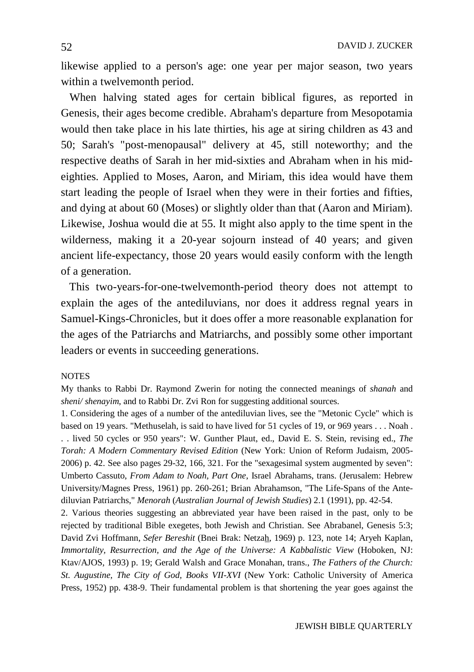likewise applied to a person's age: one year per major season, two years within a twelvemonth period.

 When halving stated ages for certain biblical figures, as reported in Genesis, their ages become credible. Abraham's departure from Mesopotamia would then take place in his late thirties, his age at siring children as 43 and 50; Sarah's "post-menopausal" delivery at 45, still noteworthy; and the respective deaths of Sarah in her mid-sixties and Abraham when in his mideighties. Applied to Moses, Aaron, and Miriam, this idea would have them start leading the people of Israel when they were in their forties and fifties, and dying at about 60 (Moses) or slightly older than that (Aaron and Miriam). Likewise, Joshua would die at 55. It might also apply to the time spent in the wilderness, making it a 20-year sojourn instead of 40 years; and given ancient life-expectancy, those 20 years would easily conform with the length of a generation.

 This two-years-for-one-twelvemonth-period theory does not attempt to explain the ages of the antediluvians, nor does it address regnal years in Samuel-Kings-Chronicles, but it does offer a more reasonable explanation for the ages of the Patriarchs and Matriarchs, and possibly some other important leaders or events in succeeding generations.

## NOTES

My thanks to Rabbi Dr. Raymond Zwerin for noting the connected meanings of *shanah* and *sheni/ shenayim*, and to Rabbi Dr. Zvi Ron for suggesting additional sources.

1. Considering the ages of a number of the antediluvian lives, see the "Metonic Cycle" which is based on 19 years. "Methuselah, is said to have lived for 51 cycles of 19, or 969 years . . . Noah . . . lived 50 cycles or 950 years": W. Gunther Plaut, ed., David E. S. Stein, revising ed., *The Torah: A Modern Commentary Revised Edition* (New York: Union of Reform Judaism, 2005- 2006) p. 42. See also pages 29-32, 166, 321. For the "sexagesimal system augmented by seven": Umberto Cassuto, *From Adam to Noah, Part One*, Israel Abrahams, trans. (Jerusalem: Hebrew University/Magnes Press, 1961) pp. 260-261; Brian Abrahamson, "The Life-Spans of the Antediluvian Patriarchs," *Menorah* (*Australian Journal of Jewish Studies*) 2.1 (1991), pp. 42-54.

2. Various theories suggesting an abbreviated year have been raised in the past, only to be rejected by traditional Bible exegetes, both Jewish and Christian. See Abrabanel, Genesis 5:3; David Zvi Hoffmann, *Sefer Bereshit* (Bnei Brak: Netzah, 1969) p. 123, note 14; Aryeh Kaplan, *Immortality, Resurrection, and the Age of the Universe: A Kabbalistic View* (Hoboken, NJ: Ktav/AJOS, 1993) p. 19; Gerald Walsh and Grace Monahan, trans., *The Fathers of the Church: St. Augustine, The City of God, Books VII-XVI* (New York: Catholic University of America Press, 1952) pp. 438-9. Their fundamental problem is that shortening the year goes against the